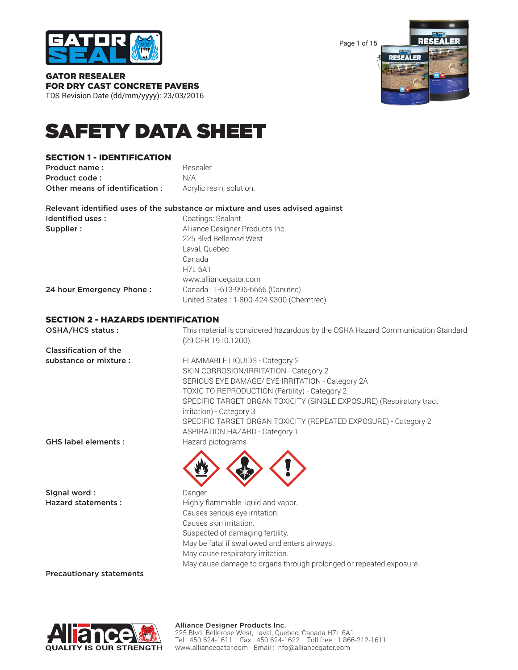

Page 1 of 15



GATOR RESEALER FOR DRY CAST CONCRETE PAVERS TDS Revision Date (dd/mm/yyyy): 23/03/2016

# SAFETY DATA SHEET

## SECTION 1 - IDENTIFICATION

Product name : Resealer Product code : N/A Other means of identification : Acrylic resin, solution.

|                          | Relevant identified uses of the substance or mixture and uses advised against |
|--------------------------|-------------------------------------------------------------------------------|
| Identified uses:         | Coatings: Sealant.                                                            |
| Supplier:                | Alliance Designer Products Inc.                                               |
|                          | 225 Blvd Bellerose West                                                       |
|                          | Laval, Quebec                                                                 |
|                          | Canada                                                                        |
|                          | <b>H7L 6A1</b>                                                                |
|                          | www.alliancegator.com                                                         |
| 24 hour Emergency Phone: | Canada: 1-613-996-6666 (Canutec)                                              |
|                          | United States: 1-800-424-9300 (Chemtrec)                                      |

## SECTION 2 - HAZARDS IDENTIFICATION

| OSHA/HCS status:             | This material is considered hazardous by the OSHA Hazard Communication Standard<br>(29 CFR 1910.1200). |
|------------------------------|--------------------------------------------------------------------------------------------------------|
| <b>Classification of the</b> |                                                                                                        |
| substance or mixture :       | FLAMMABLE LIQUIDS - Category 2                                                                         |
|                              | SKIN CORROSION/IRRITATION - Category 2                                                                 |
|                              | SERIOUS EYE DAMAGE/ EYE IRRITATION - Category 2A                                                       |
|                              | TOXIC TO REPRODUCTION (Fertility) - Category 2                                                         |
|                              | SPECIFIC TARGET ORGAN TOXICITY (SINGLE EXPOSURE) (Respiratory tract                                    |
|                              | irritation) - Category 3                                                                               |
|                              | SPECIFIC TARGET ORGAN TOXICITY (REPEATED EXPOSURE) - Category 2                                        |
|                              | <b>ASPIRATION HAZARD - Category 1</b>                                                                  |
| <b>GHS label elements:</b>   | Hazard pictograms                                                                                      |
|                              |                                                                                                        |
|                              |                                                                                                        |
|                              |                                                                                                        |
| Signal word:                 | Danger                                                                                                 |
| <b>Hazard statements:</b>    | Highly flammable liquid and vapor.                                                                     |
|                              | Causes serious eye irritation.                                                                         |
|                              | Causes skin irritation.                                                                                |
|                              | Suspected of damaging fertility.                                                                       |
|                              | May be fatal if swallowed and enters airways.                                                          |
|                              | May cause respiratory irritation.                                                                      |

May cause damage to organs through prolonged or repeated exposure.

Precautionary statements

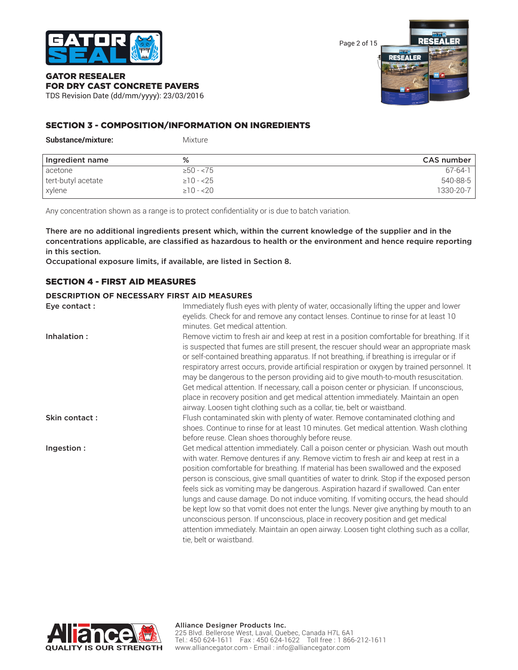

Page 2 of 15



## GATOR RESEALER FOR DRY CAST CONCRETE PAVERS TDS Revision Date (dd/mm/yyyy): 23/03/2016

## SECTION 3 - COMPOSITION/INFORMATION ON INGREDIENTS

| Substance/mixture: | Mixture         |               |
|--------------------|-----------------|---------------|
| Ingredient name    | %               | CAS number    |
| acetone            | $\geq 50 - 75$  | $67 - 64 - 1$ |
| tert-butyl acetate | $\geq$ 10 - <25 | 540-88-5      |
| xylene             | $\geq 10 - 20$  | 1330-20-7     |

Any concentration shown as a range is to protect confidentiality or is due to batch variation.

There are no additional ingredients present which, within the current knowledge of the supplier and in the concentrations applicable, are classified as hazardous to health or the environment and hence require reporting in this section.

Occupational exposure limits, if available, are listed in Section 8.

## SECTION 4 - FIRST AID MEASURES

#### **DESCRIPTION OF NECESSARY FIRST AID MEASURES**

| Eye contact:  | Immediately flush eyes with plenty of water, occasionally lifting the upper and lower<br>eyelids. Check for and remove any contact lenses. Continue to rinse for at least 10                                                                                                                                                                                                                                                                                                                                                                                                                                                                                                                                                                                                                                                                  |
|---------------|-----------------------------------------------------------------------------------------------------------------------------------------------------------------------------------------------------------------------------------------------------------------------------------------------------------------------------------------------------------------------------------------------------------------------------------------------------------------------------------------------------------------------------------------------------------------------------------------------------------------------------------------------------------------------------------------------------------------------------------------------------------------------------------------------------------------------------------------------|
| Inhalation:   | minutes. Get medical attention.<br>Remove victim to fresh air and keep at rest in a position comfortable for breathing. If it<br>is suspected that fumes are still present, the rescuer should wear an appropriate mask<br>or self-contained breathing apparatus. If not breathing, if breathing is irregular or if<br>respiratory arrest occurs, provide artificial respiration or oxygen by trained personnel. It<br>may be dangerous to the person providing aid to give mouth-to-mouth resuscitation.                                                                                                                                                                                                                                                                                                                                     |
|               | Get medical attention. If necessary, call a poison center or physician. If unconscious,<br>place in recovery position and get medical attention immediately. Maintain an open<br>airway. Loosen tight clothing such as a collar, tie, belt or waistband.                                                                                                                                                                                                                                                                                                                                                                                                                                                                                                                                                                                      |
| Skin contact: | Flush contaminated skin with plenty of water. Remove contaminated clothing and<br>shoes. Continue to rinse for at least 10 minutes. Get medical attention. Wash clothing<br>before reuse. Clean shoes thoroughly before reuse.                                                                                                                                                                                                                                                                                                                                                                                                                                                                                                                                                                                                                |
| Ingestion:    | Get medical attention immediately. Call a poison center or physician. Wash out mouth<br>with water. Remove dentures if any. Remove victim to fresh air and keep at rest in a<br>position comfortable for breathing. If material has been swallowed and the exposed<br>person is conscious, give small quantities of water to drink. Stop if the exposed person<br>feels sick as vomiting may be dangerous. Aspiration hazard if swallowed. Can enter<br>lungs and cause damage. Do not induce vomiting. If vomiting occurs, the head should<br>be kept low so that vomit does not enter the lungs. Never give anything by mouth to an<br>unconscious person. If unconscious, place in recovery position and get medical<br>attention immediately. Maintain an open airway. Loosen tight clothing such as a collar,<br>tie, belt or waistband. |

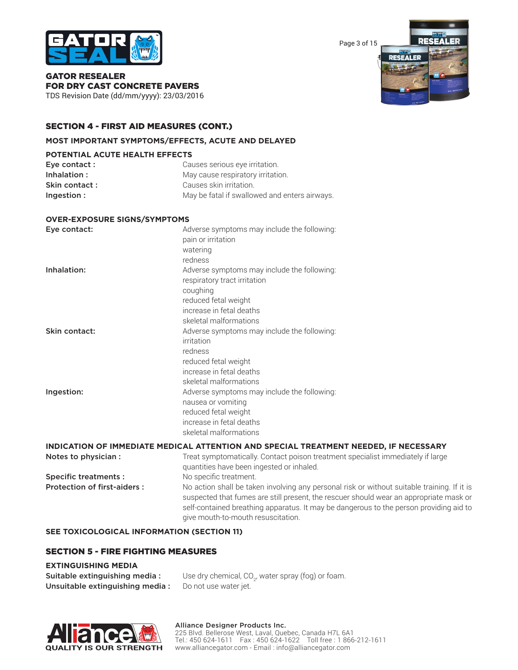

Page 3 of 15



GATOR RESEALER FOR DRY CAST CONCRETE PAVERS TDS Revision Date (dd/mm/yyyy): 23/03/2016

## SECTION 4 - FIRST AID MEASURES (CONT.)

#### **MOST IMPORTANT SYMPTOMS/EFFECTS, ACUTE AND DELAYED**

#### **POTENTIAL ACUTE HEALTH EFFECTS**

| Eye contact : | Causes serious eye irritation.                |
|---------------|-----------------------------------------------|
| Inhalation:   | May cause respiratory irritation.             |
| Skin contact: | Causes skin irritation.                       |
| Ingestion:    | May be fatal if swallowed and enters airways. |

#### **OVER-EXPOSURE SIGNS/SYMPTOMS**

| Eye contact:  | Adverse symptoms may include the following:<br>pain or irritation<br>watering<br>redness                                                           |
|---------------|----------------------------------------------------------------------------------------------------------------------------------------------------|
| Inhalation:   | Adverse symptoms may include the following:<br>respiratory tract irritation<br>coughing<br>reduced fetal weight<br>increase in fetal deaths        |
|               | skeletal malformations                                                                                                                             |
| Skin contact: | Adverse symptoms may include the following:<br>irritation<br>redness<br>reduced fetal weight<br>increase in fetal deaths<br>skeletal malformations |
| Ingestion:    | Adverse symptoms may include the following:<br>nausea or vomiting<br>reduced fetal weight<br>increase in fetal deaths<br>skeletal malformations    |

## **INDICATION OF IMMEDIATE MEDICAL ATTENTION AND SPECIAL TREATMENT NEEDED, IF NECESSARY**

| Notes to physician :               | Treat symptomatically. Contact poison treatment specialist immediately if large                                                                                                                                                                                                                                       |
|------------------------------------|-----------------------------------------------------------------------------------------------------------------------------------------------------------------------------------------------------------------------------------------------------------------------------------------------------------------------|
|                                    | quantities have been ingested or inhaled.                                                                                                                                                                                                                                                                             |
| Specific treatments :              | No specific treatment.                                                                                                                                                                                                                                                                                                |
| <b>Protection of first-aiders:</b> | No action shall be taken involving any personal risk or without suitable training. If it is<br>suspected that fumes are still present, the rescuer should wear an appropriate mask or<br>self-contained breathing apparatus. It may be dangerous to the person providing aid to<br>give mouth-to-mouth resuscitation. |

#### **SEE TOXICOLOGICAL INFORMATION (SECTION 11)**

## SECTION 5 - FIRE FIGHTING MEASURES

#### **EXTINGUISHING MEDIA**

| Suitable extinguishing media:   | Use dry chemical, CO <sub>2</sub> , water spray (fog) or foam. |
|---------------------------------|----------------------------------------------------------------|
| Unsuitable extinguishing media: | Do not use water jet.                                          |

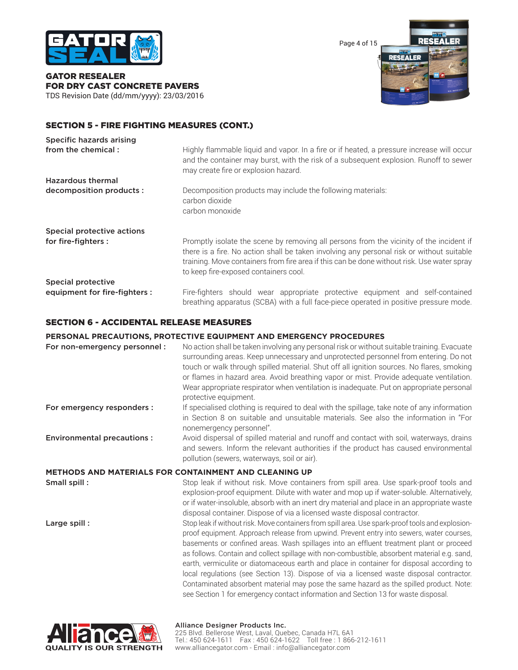

GATOR RESEALER FOR DRY CAST CONCRETE PAVERS TDS Revision Date (dd/mm/yyyy): 23/03/2016 Page 4 of 15



## SECTION 5 - FIRE FIGHTING MEASURES (CONT.)

| <b>Specific hazards arising</b> |                                                                                                                                                                                                                                                                                                                             |
|---------------------------------|-----------------------------------------------------------------------------------------------------------------------------------------------------------------------------------------------------------------------------------------------------------------------------------------------------------------------------|
| from the chemical:              | Highly flammable liquid and vapor. In a fire or if heated, a pressure increase will occur<br>and the container may burst, with the risk of a subsequent explosion. Runoff to sewer<br>may create fire or explosion hazard.                                                                                                  |
| <b>Hazardous thermal</b>        |                                                                                                                                                                                                                                                                                                                             |
| decomposition products :        | Decomposition products may include the following materials:<br>carbon dioxide<br>carbon monoxide                                                                                                                                                                                                                            |
| Special protective actions      |                                                                                                                                                                                                                                                                                                                             |
| for fire-fighters :             | Promptly isolate the scene by removing all persons from the vicinity of the incident if<br>there is a fire. No action shall be taken involving any personal risk or without suitable<br>training. Move containers from fire area if this can be done without risk. Use water spray<br>to keep fire-exposed containers cool. |
| Special protective              |                                                                                                                                                                                                                                                                                                                             |
| equipment for fire-fighters :   | Fire-fighters should wear appropriate protective equipment and self-contained<br>breathing apparatus (SCBA) with a full face-piece operated in positive pressure mode.                                                                                                                                                      |

## SECTION 6 - ACCIDENTAL RELEASE MEASURES

#### **PERSONAL PRECAUTIONS, PROTECTIVE EQUIPMENT AND EMERGENCY PROCEDURES**

| For non-emergency personnel :     | No action shall be taken involving any personal risk or without suitable training. Evacuate<br>surrounding areas. Keep unnecessary and unprotected personnel from entering. Do not<br>touch or walk through spilled material. Shut off all ignition sources. No flares, smoking<br>or flames in hazard area. Avoid breathing vapor or mist. Provide adequate ventilation.<br>Wear appropriate respirator when ventilation is inadequate. Put on appropriate personal<br>protective equipment.                                                                                                                                                                                                                                                                    |
|-----------------------------------|------------------------------------------------------------------------------------------------------------------------------------------------------------------------------------------------------------------------------------------------------------------------------------------------------------------------------------------------------------------------------------------------------------------------------------------------------------------------------------------------------------------------------------------------------------------------------------------------------------------------------------------------------------------------------------------------------------------------------------------------------------------|
| For emergency responders :        | If specialised clothing is required to deal with the spillage, take note of any information<br>in Section 8 on suitable and unsuitable materials. See also the information in "For<br>nonemergency personnel".                                                                                                                                                                                                                                                                                                                                                                                                                                                                                                                                                   |
| <b>Environmental precautions:</b> | Avoid dispersal of spilled material and runoff and contact with soil, waterways, drains<br>and sewers. Inform the relevant authorities if the product has caused environmental<br>pollution (sewers, waterways, soil or air).                                                                                                                                                                                                                                                                                                                                                                                                                                                                                                                                    |
|                                   | <b>METHODS AND MATERIALS FOR CONTAINMENT AND CLEANING UP</b>                                                                                                                                                                                                                                                                                                                                                                                                                                                                                                                                                                                                                                                                                                     |
| Small spill:                      | Stop leak if without risk. Move containers from spill area. Use spark-proof tools and<br>explosion-proof equipment. Dilute with water and mop up if water-soluble. Alternatively,<br>or if water-insoluble, absorb with an inert dry material and place in an appropriate waste<br>disposal container. Dispose of via a licensed waste disposal contractor.                                                                                                                                                                                                                                                                                                                                                                                                      |
| Large spill:                      | Stop leak if without risk. Move containers from spill area. Use spark-proof tools and explosion-<br>proof equipment. Approach release from upwind. Prevent entry into sewers, water courses,<br>basements or confined areas. Wash spillages into an effluent treatment plant or proceed<br>as follows. Contain and collect spillage with non-combustible, absorbent material e.g. sand,<br>earth, vermiculite or diatomaceous earth and place in container for disposal according to<br>local regulations (see Section 13). Dispose of via a licensed waste disposal contractor.<br>Contaminated absorbent material may pose the same hazard as the spilled product. Note:<br>see Section 1 for emergency contact information and Section 13 for waste disposal. |



#### Alliance Designer Products Inc.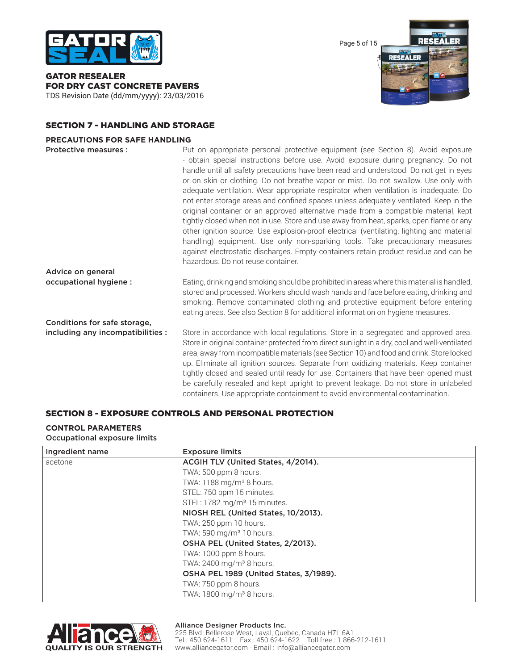

GATOR RESEALER FOR DRY CAST CONCRETE PAVERS TDS Revision Date (dd/mm/yyyy): 23/03/2016 Page 5 of 15



## SECTION 7 - HANDLING AND STORAGE

#### **PRECAUTIONS FOR SAFE HANDLING**

| Protective measures :             | Put on appropriate personal protective equipment (see Section 8). Avoid exposure<br>- obtain special instructions before use. Avoid exposure during pregnancy. Do not<br>handle until all safety precautions have been read and understood. Do not get in eyes<br>or on skin or clothing. Do not breathe vapor or mist. Do not swallow. Use only with<br>adequate ventilation. Wear appropriate respirator when ventilation is inadequate. Do<br>not enter storage areas and confined spaces unless adequately ventilated. Keep in the<br>original container or an approved alternative made from a compatible material, kept<br>tightly closed when not in use. Store and use away from heat, sparks, open flame or any<br>other ignition source. Use explosion-proof electrical (ventilating, lighting and material<br>handling) equipment. Use only non-sparking tools. Take precautionary measures<br>against electrostatic discharges. Empty containers retain product residue and can be<br>hazardous. Do not reuse container. |
|-----------------------------------|--------------------------------------------------------------------------------------------------------------------------------------------------------------------------------------------------------------------------------------------------------------------------------------------------------------------------------------------------------------------------------------------------------------------------------------------------------------------------------------------------------------------------------------------------------------------------------------------------------------------------------------------------------------------------------------------------------------------------------------------------------------------------------------------------------------------------------------------------------------------------------------------------------------------------------------------------------------------------------------------------------------------------------------|
| Advice on general                 |                                                                                                                                                                                                                                                                                                                                                                                                                                                                                                                                                                                                                                                                                                                                                                                                                                                                                                                                                                                                                                      |
| occupational hygiene :            | Eating, drinking and smoking should be prohibited in areas where this material is handled,<br>stored and processed. Workers should wash hands and face before eating, drinking and<br>smoking. Remove contaminated clothing and protective equipment before entering<br>eating areas. See also Section 8 for additional information on hygiene measures.                                                                                                                                                                                                                                                                                                                                                                                                                                                                                                                                                                                                                                                                             |
| Conditions for safe storage,      |                                                                                                                                                                                                                                                                                                                                                                                                                                                                                                                                                                                                                                                                                                                                                                                                                                                                                                                                                                                                                                      |
| including any incompatibilities : | Store in accordance with local regulations. Store in a segregated and approved area.<br>Store in original container protected from direct sunlight in a dry, cool and well-ventilated<br>area, away from incompatible materials (see Section 10) and food and drink. Store locked<br>up. Eliminate all ignition sources. Separate from oxidizing materials. Keep container<br>tightly closed and sealed until ready for use. Containers that have been opened must<br>be carefully resealed and kept upright to prevent leakage. Do not store in unlabeled                                                                                                                                                                                                                                                                                                                                                                                                                                                                           |

# SECTION 8 - EXPOSURE CONTROLS AND PERSONAL PROTECTION

## **CONTROL PARAMETERS**

Occupational exposure limits

| Ingredient name | <b>Exposure limits</b>                   |
|-----------------|------------------------------------------|
| acetone         | ACGIH TLV (United States, 4/2014).       |
|                 | TWA: 500 ppm 8 hours.                    |
|                 | TWA: 1188 mg/m <sup>3</sup> 8 hours.     |
|                 | STEL: 750 ppm 15 minutes.                |
|                 | STEL: 1782 mg/m <sup>3</sup> 15 minutes. |
|                 | NIOSH REL (United States, 10/2013).      |
|                 | TWA: 250 ppm 10 hours.                   |
|                 | TWA: 590 mg/m <sup>3</sup> 10 hours.     |
|                 | OSHA PEL (United States, 2/2013).        |
|                 | TWA: 1000 ppm 8 hours.                   |
|                 | TWA: 2400 mg/m <sup>3</sup> 8 hours.     |
|                 | OSHA PEL 1989 (United States, 3/1989).   |
|                 | TWA: 750 ppm 8 hours.                    |
|                 | TWA: 1800 mg/m <sup>3</sup> 8 hours.     |

containers. Use appropriate containment to avoid environmental contamination.

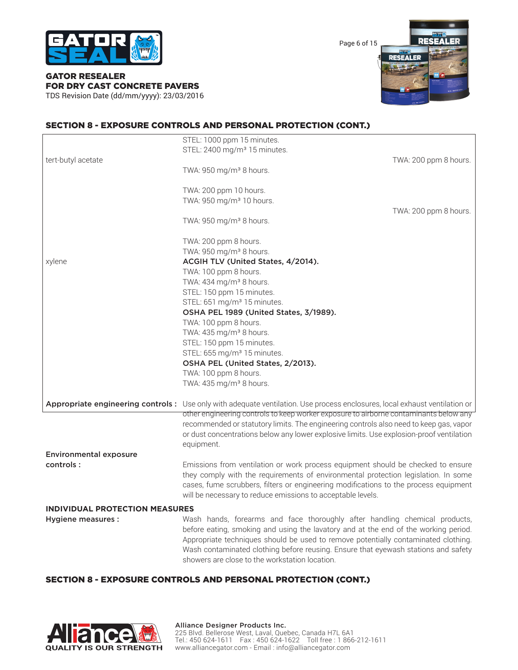

Page 6 of 15



GATOR RESEALER FOR DRY CAST CONCRETE PAVERS TDS Revision Date (dd/mm/yyyy): 23/03/2016

## SECTION 8 - EXPOSURE CONTROLS AND PERSONAL PROTECTION (CONT.)

|                                       | STEL: 1000 ppm 15 minutes.<br>STEL: 2400 mg/m <sup>3</sup> 15 minutes.                                                                                                                                                                                                                                                                                                                          |                       |
|---------------------------------------|-------------------------------------------------------------------------------------------------------------------------------------------------------------------------------------------------------------------------------------------------------------------------------------------------------------------------------------------------------------------------------------------------|-----------------------|
| tert-butyl acetate                    | TWA: 950 mg/m <sup>3</sup> 8 hours.                                                                                                                                                                                                                                                                                                                                                             | TWA: 200 ppm 8 hours. |
|                                       | TWA: 200 ppm 10 hours.<br>TWA: 950 mg/m <sup>3</sup> 10 hours.                                                                                                                                                                                                                                                                                                                                  |                       |
|                                       | TWA: 950 mg/m <sup>3</sup> 8 hours.                                                                                                                                                                                                                                                                                                                                                             | TWA: 200 ppm 8 hours. |
|                                       | TWA: 200 ppm 8 hours.<br>TWA: 950 mg/m <sup>3</sup> 8 hours.                                                                                                                                                                                                                                                                                                                                    |                       |
|                                       |                                                                                                                                                                                                                                                                                                                                                                                                 |                       |
| xylene                                | ACGIH TLV (United States, 4/2014).                                                                                                                                                                                                                                                                                                                                                              |                       |
|                                       | TWA: 100 ppm 8 hours.                                                                                                                                                                                                                                                                                                                                                                           |                       |
|                                       | TWA: 434 mg/m <sup>3</sup> 8 hours.                                                                                                                                                                                                                                                                                                                                                             |                       |
|                                       | STEL: 150 ppm 15 minutes.                                                                                                                                                                                                                                                                                                                                                                       |                       |
|                                       | STEL: 651 mg/m <sup>3</sup> 15 minutes.                                                                                                                                                                                                                                                                                                                                                         |                       |
|                                       | OSHA PEL 1989 (United States, 3/1989).                                                                                                                                                                                                                                                                                                                                                          |                       |
|                                       | TWA: 100 ppm 8 hours.                                                                                                                                                                                                                                                                                                                                                                           |                       |
|                                       | TWA: 435 mg/m <sup>3</sup> 8 hours.                                                                                                                                                                                                                                                                                                                                                             |                       |
|                                       | STEL: 150 ppm 15 minutes.                                                                                                                                                                                                                                                                                                                                                                       |                       |
|                                       | STEL: 655 mg/m <sup>3</sup> 15 minutes.                                                                                                                                                                                                                                                                                                                                                         |                       |
|                                       | OSHA PEL (United States, 2/2013).                                                                                                                                                                                                                                                                                                                                                               |                       |
|                                       | TWA: 100 ppm 8 hours.                                                                                                                                                                                                                                                                                                                                                                           |                       |
|                                       | TWA: 435 mg/m <sup>3</sup> 8 hours.                                                                                                                                                                                                                                                                                                                                                             |                       |
|                                       | Appropriate engineering controls: Use only with adequate ventilation. Use process enclosures, local exhaust ventilation or<br>other engineering controls to keep worker exposure to airborne contaminants below any                                                                                                                                                                             |                       |
|                                       | recommended or statutory limits. The engineering controls also need to keep gas, vapor                                                                                                                                                                                                                                                                                                          |                       |
|                                       | or dust concentrations below any lower explosive limits. Use explosion-proof ventilation                                                                                                                                                                                                                                                                                                        |                       |
|                                       | equipment.                                                                                                                                                                                                                                                                                                                                                                                      |                       |
| <b>Environmental exposure</b>         |                                                                                                                                                                                                                                                                                                                                                                                                 |                       |
| controls:                             | Emissions from ventilation or work process equipment should be checked to ensure                                                                                                                                                                                                                                                                                                                |                       |
|                                       | they comply with the requirements of environmental protection legislation. In some<br>cases, fume scrubbers, filters or engineering modifications to the process equipment<br>will be necessary to reduce emissions to acceptable levels.                                                                                                                                                       |                       |
| <b>INDIVIDUAL PROTECTION MEASURES</b> |                                                                                                                                                                                                                                                                                                                                                                                                 |                       |
| Hygiene measures :                    | Wash hands, forearms and face thoroughly after handling chemical products,<br>before eating, smoking and using the lavatory and at the end of the working period.<br>Appropriate techniques should be used to remove potentially contaminated clothing.<br>Wash contaminated clothing before reusing. Ensure that eyewash stations and safety<br>showers are close to the workstation location. |                       |

## SECTION 8 - EXPOSURE CONTROLS AND PERSONAL PROTECTION (CONT.)

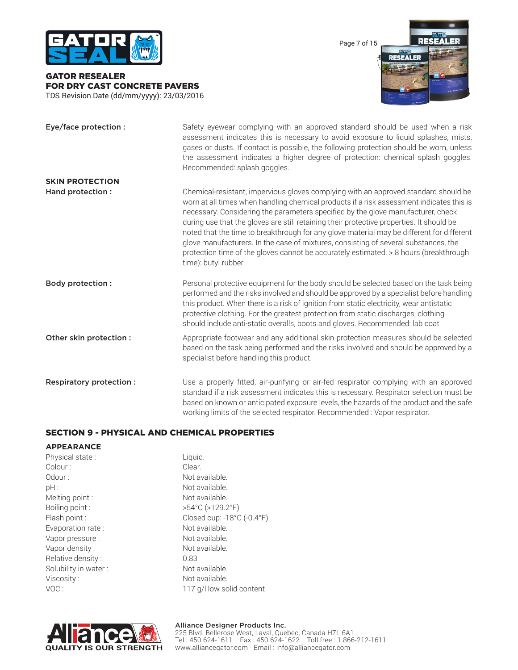

GATOR RESEALER FOR DRY CAST CONCRETE PAVERS TDS Revision Date (dd/mm/yyyy): 23/03/2016 Page 7 of 15



| Eye/face protection :    | Safety eyewear complying with an approved standard should be used when a risk<br>assessment indicates this is necessary to avoid exposure to liquid splashes, mists,<br>gases or dusts. If contact is possible, the following protection should be worn, unless<br>the assessment indicates a higher degree of protection: chemical splash goggles.<br>Recommended: splash goggles.                                                                                                                                                                                                                                                                                 |
|--------------------------|---------------------------------------------------------------------------------------------------------------------------------------------------------------------------------------------------------------------------------------------------------------------------------------------------------------------------------------------------------------------------------------------------------------------------------------------------------------------------------------------------------------------------------------------------------------------------------------------------------------------------------------------------------------------|
| <b>SKIN PROTECTION</b>   |                                                                                                                                                                                                                                                                                                                                                                                                                                                                                                                                                                                                                                                                     |
| Hand protection:         | Chemical-resistant, impervious gloves complying with an approved standard should be<br>worn at all times when handling chemical products if a risk assessment indicates this is<br>necessary. Considering the parameters specified by the glove manufacturer, check<br>during use that the gloves are still retaining their protective properties. It should be<br>noted that the time to breakthrough for any glove material may be different for different<br>glove manufacturers. In the case of mixtures, consisting of several substances, the<br>protection time of the gloves cannot be accurately estimated. > 8 hours (breakthrough<br>time): butyl rubber |
| <b>Body protection:</b>  | Personal protective equipment for the body should be selected based on the task being<br>performed and the risks involved and should be approved by a specialist before handling<br>this product. When there is a risk of ignition from static electricity, wear antistatic<br>protective clothing. For the greatest protection from static discharges, clothing<br>should include anti-static overalls, boots and gloves. Recommended: lab coat                                                                                                                                                                                                                    |
| Other skin protection :  | Appropriate footwear and any additional skin protection measures should be selected<br>based on the task being performed and the risks involved and should be approved by a<br>specialist before handling this product.                                                                                                                                                                                                                                                                                                                                                                                                                                             |
| Respiratory protection : | Use a properly fitted, air-purifying or air-fed respirator complying with an approved<br>standard if a risk assessment indicates this is necessary. Respirator selection must be<br>based on known or anticipated exposure levels, the hazards of the product and the safe<br>working limits of the selected respirator. Recommended: Vapor respirator.                                                                                                                                                                                                                                                                                                             |

## SECTION 9 - PHYSICAL AND CHEMICAL PROPERTIES

#### **APPEARANCE**

| Physical state:      | Liquid.                               |  |  |
|----------------------|---------------------------------------|--|--|
| Colour:              | Clear.                                |  |  |
| Odour:               | Not available.                        |  |  |
| pH:                  | Not available.                        |  |  |
| Melting point:       | Not available.                        |  |  |
| Boiling point:       | $>54^{\circ}$ C ( $>129.2^{\circ}$ F) |  |  |
| Flash point :        | Closed cup: -18°C (-0.4°F             |  |  |
| Evaporation rate:    | Not available.                        |  |  |
| Vapor pressure :     | Not available.                        |  |  |
| Vapor density:       | Not available.                        |  |  |
| Relative density:    | 0.83                                  |  |  |
| Solubility in water: | Not available.                        |  |  |
| Viscosity:           | Not available.                        |  |  |
| VOC:                 | 117 g/l low solid content             |  |  |

Liquid. Clear. Not available. Not available. Not available. Boiling point : >54°C (>129.2°F) Closed cup: -18°C (-0.4°F) Not available. Not available. Not available. Not available. Not available.

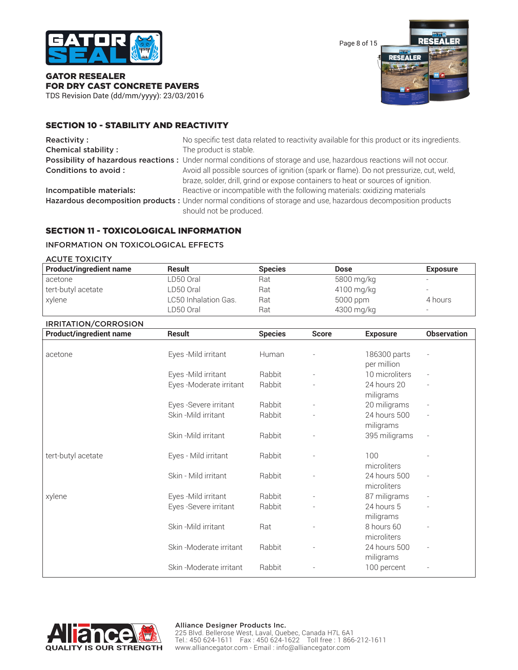

Page 8 of 15



## GATOR RESEALER FOR DRY CAST CONCRETE PAVERS

TDS Revision Date (dd/mm/yyyy): 23/03/2016

## SECTION 10 - STABILITY AND REACTIVITY

| <b>Reactivity:</b>         | No specific test data related to reactivity available for this product or its ingredients.                                                                                 |
|----------------------------|----------------------------------------------------------------------------------------------------------------------------------------------------------------------------|
| <b>Chemical stability:</b> | The product is stable.                                                                                                                                                     |
|                            | Possibility of hazardous reactions: Under normal conditions of storage and use, hazardous reactions will not occur.                                                        |
| Conditions to avoid :      | Avoid all possible sources of ignition (spark or flame). Do not pressurize, cut, weld,<br>braze, solder, drill, grind or expose containers to heat or sources of ignition. |
| Incompatible materials:    | Reactive or incompatible with the following materials: oxidizing materials                                                                                                 |
|                            | Hazardous decomposition products : Under normal conditions of storage and use, hazardous decomposition products<br>should not be produced.                                 |

## SECTION 11 - TOXICOLOGICAL INFORMATION

## INFORMATION ON TOXICOLOGICAL EFFECTS

| <b>ACUTE TOXICITY</b>          |                      |                |            |                          |
|--------------------------------|----------------------|----------------|------------|--------------------------|
| <b>Product/ingredient name</b> | <b>Result</b>        | <b>Species</b> | Dose       | <b>Exposure</b>          |
| acetone                        | LD50 Oral            | Rat            | 5800 mg/kg | $\overline{\phantom{a}}$ |
| tert-butyl acetate             | LD50 Oral            | Rat            | 4100 mg/kg |                          |
| xylene                         | LC50 Inhalation Gas. | Rat            | 5000 ppm   | 4 hours                  |
|                                | LD50 Oral            | Rat            | 4300 mg/kg | $\overline{\phantom{0}}$ |

# IRRITATION/CORROSION

| <b>IRRITATION/CORROSION</b><br><b>Product/ingredient name</b> | <b>Result</b>           | <b>Species</b> | <b>Score</b> | <b>Exposure</b>             | <b>Observation</b> |
|---------------------------------------------------------------|-------------------------|----------------|--------------|-----------------------------|--------------------|
|                                                               |                         |                |              |                             |                    |
| acetone                                                       | Eyes - Mild irritant    | Human          |              | 186300 parts<br>per million |                    |
|                                                               | Eyes - Mild irritant    | Rabbit         |              | 10 microliters              |                    |
|                                                               | Eyes -Moderate irritant | Rabbit         |              | 24 hours 20<br>miligrams    |                    |
|                                                               | Eyes -Severe irritant   | Rabbit         |              | 20 miligrams                |                    |
|                                                               | Skin -Mild irritant     | Rabbit         |              | 24 hours 500<br>miligrams   |                    |
|                                                               | Skin-Mild irritant      | Rabbit         |              | 395 miligrams               |                    |
| tert-butyl acetate                                            | Eyes - Mild irritant    | Rabbit         |              | 100<br>microliters          |                    |
|                                                               | Skin - Mild irritant    | Rabbit         |              | 24 hours 500<br>microliters |                    |
| xylene                                                        | Eyes - Mild irritant    | Rabbit         |              | 87 miligrams                |                    |
|                                                               | Eyes -Severe irritant   | Rabbit         |              | 24 hours 5<br>miligrams     |                    |
|                                                               | Skin-Mild irritant      | Rat            |              | 8 hours 60<br>microliters   |                    |
|                                                               | Skin-Moderate irritant  | Rabbit         |              | 24 hours 500<br>miligrams   | $\overline{a}$     |
|                                                               | Skin-Moderate irritant  | Rabbit         |              | 100 percent                 |                    |

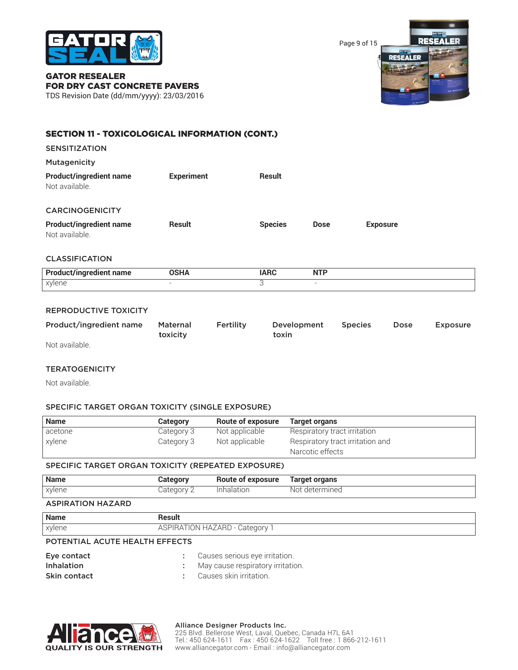

Page 9 of 15



#### GATOR RESEALER FOR DRY CAST CONCRETE PAVERS TDS Revision Date (dd/mm/yyyy): 23/03/2016

## SECTION 11 - TOXICOLOGICAL INFORMATION (CONT.)

| <b>SENSITIZATION</b>                             |                   |                |             |                 |  |
|--------------------------------------------------|-------------------|----------------|-------------|-----------------|--|
| Mutagenicity                                     |                   |                |             |                 |  |
| <b>Product/ingredient name</b><br>Not available. | <b>Experiment</b> | <b>Result</b>  |             |                 |  |
| <b>CARCINOGENICITY</b>                           |                   |                |             |                 |  |
| <b>Product/ingredient name</b><br>Not available. | <b>Result</b>     | <b>Species</b> | <b>Dose</b> | <b>Exposure</b> |  |

## CLASSIFICATION

| <b>Pro</b><br>name<br>. | UJNA | n | <b>NTP</b><br><b>INIL</b> |
|-------------------------|------|---|---------------------------|
| xylene<br>, . ,         |      |   |                           |

## REPRODUCTIVE TOXICITY

| Product/ingredient name | Maternal | Fertility | Development | <b>Species</b> | Dose | Exposure |
|-------------------------|----------|-----------|-------------|----------------|------|----------|
|                         | toxicity |           | toxin       |                |      |          |
| .                       |          |           |             |                |      |          |

Not available.

## **TERATOGENICITY**

Not available.

## SPECIFIC TARGET ORGAN TOXICITY (SINGLE EXPOSURE)

| <b>Name</b> | Category   | <b>Route of exposure</b> | Target organs                                        |
|-------------|------------|--------------------------|------------------------------------------------------|
| acetone     | Category 3 | Not applicable           | Respiratory tract irritation                         |
| xylene      | Category 3 | Not applicable           | Respiratory tract irritation and<br>Narcotic effects |

## SPECIFIC TARGET ORGAN TOXICITY (REPEATED EXPOSURE)

| <b>Name</b> | Category   | <b>Route of exposure</b> | Target organs  |
|-------------|------------|--------------------------|----------------|
| xylene      | Category ' | Inhalation               | Not determined |

## ASPIRATION HAZARD

| <b>Name</b> | Result                                          |
|-------------|-------------------------------------------------|
| xylene      | ייטו און HAZARD - Caterner וויי א<br>$\sqrt{1}$ |

#### POTENTIAL ACUTE HEALTH EFFECTS

| Eye contact       | Causes serious eye irritation.      |
|-------------------|-------------------------------------|
| <b>Inhalation</b> | : May cause respiratory irritation. |
| Skin contact      | Causes skin irritation.             |



#### Alliance Designer Products Inc.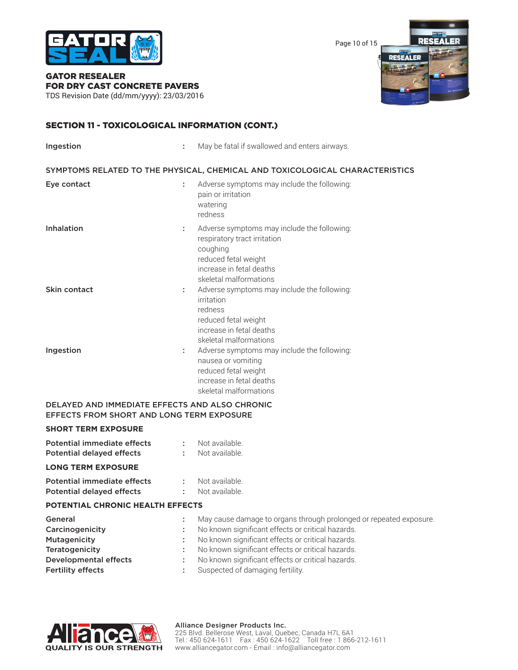

Page 10 of 15



# GATOR RESEALER FOR DRY CAST CONCRETE PAVERS

TDS Revision Date (dd/mm/yyyy): 23/03/2016

## SECTION 11 - TOXICOLOGICAL INFORMATION (CONT.)

| <b>Ingestion</b> | ÷ | May be fatal if swallowed and enters airways.                                                                                                                         |
|------------------|---|-----------------------------------------------------------------------------------------------------------------------------------------------------------------------|
|                  |   | SYMPTOMS RELATED TO THE PHYSICAL, CHEMICAL AND TOXICOLOGICAL CHARACTERISTICS                                                                                          |
| Eye contact      | ÷ | Adverse symptoms may include the following:<br>pain or irritation<br>watering<br>redness                                                                              |
| Inhalation       | ÷ | Adverse symptoms may include the following:<br>respiratory tract irritation<br>coughing<br>reduced fetal weight<br>increase in fetal deaths<br>skeletal malformations |
| Skin contact     |   | Adverse symptoms may include the following:<br>irritation<br>redness<br>reduced fetal weight<br>increase in fetal deaths<br>skeletal malformations                    |
| Ingestion        |   | Adverse symptoms may include the following:<br>nausea or vomiting<br>reduced fetal weight<br>increase in fetal deaths<br>skeletal malformations                       |

## DELAYED AND IMMEDIATE EFFECTS AND ALSO CHRONIC EFFECTS FROM SHORT AND LONG TERM EXPOSURE

## **SHORT TERM EXPOSURE**

| <b>Potential immediate effects</b><br><b>Potential delayed effects</b> |   | Not available.<br>Not available.                                   |
|------------------------------------------------------------------------|---|--------------------------------------------------------------------|
| <b>LONG TERM EXPOSURE</b>                                              |   |                                                                    |
| Potential immediate effects<br><b>Potential delayed effects</b>        |   | Not available.<br>Not available.                                   |
| <b>POTENTIAL CHRONIC HEALTH EFFECTS</b>                                |   |                                                                    |
| General                                                                |   | May cause damage to organs through prolonged or repeated exposure. |
| Carcinogenicity                                                        | ÷ | No known significant effects or critical hazards.                  |
| <b>Mutagenicity</b>                                                    |   | No known significant effects or critical hazards.                  |
| <b>Teratogenicity</b>                                                  |   | No known significant effects or critical hazards.                  |
| <b>Developmental effects</b>                                           |   | No known significant effects or critical hazards.                  |

Fertility effects **Exercise : Suspected of damaging fertility.** 



#### Alliance Designer Products Inc.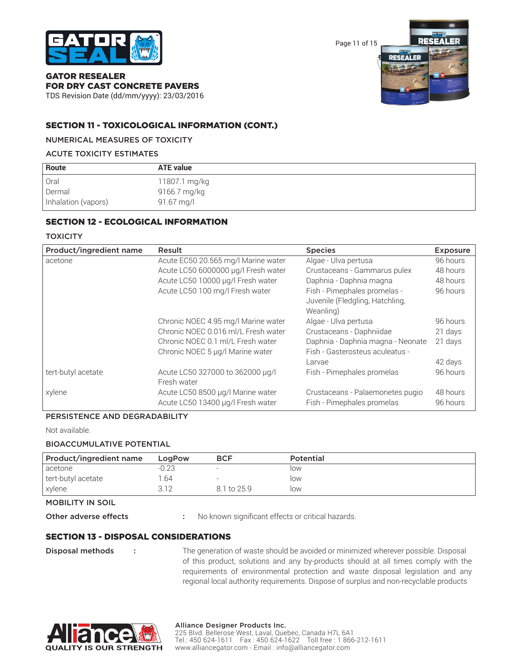

Page 11 of 15



## GATOR RESEALER FOR DRY CAST CONCRETE PAVERS

TDS Revision Date (dd/mm/yyyy): 23/03/2016

## SECTION 11 - TOXICOLOGICAL INFORMATION (CONT.)

## NUMERICAL MEASURES OF TOXICITY

## ACUTE TOXICITY ESTIMATES

| Route               | <b>ATE value</b> |  |
|---------------------|------------------|--|
| Oral                | 11807.1 mg/kg    |  |
| Dermal              | 9166.7 mg/kg     |  |
| Inhalation (vapors) | 91.67 mg/l       |  |

## SECTION 12 - ECOLOGICAL INFORMATION

## **TOXICITY**

| Product/ingredient name | Result                                                                 | <b>Species</b>                                                               | <b>Exposure</b>      |
|-------------------------|------------------------------------------------------------------------|------------------------------------------------------------------------------|----------------------|
| acetone                 | Acute EC50 20.565 mg/l Marine water                                    | Algae - Ulva pertusa                                                         | 96 hours             |
|                         | Acute LC50 6000000 µg/l Fresh water                                    | Crustaceans - Gammarus pulex                                                 | 48 hours             |
|                         | Acute LC50 10000 µg/l Fresh water                                      | Daphnia - Daphnia magna                                                      | 48 hours             |
|                         | Acute LC50 100 mg/l Fresh water                                        | Fish - Pimephales promelas -<br>Juvenile (Fledgling, Hatchling,<br>Weanling) | 96 hours             |
|                         | Chronic NOEC 4.95 mg/l Marine water                                    | Algae - Ulva pertusa                                                         | 96 hours             |
|                         | Chronic NOEC 0.016 ml/L Fresh water                                    | Crustaceans - Daphniidae                                                     | 21 days              |
|                         | Chronic NOEC 0.1 ml/L Fresh water                                      | Daphnia - Daphnia magna - Neonate                                            | 21 days              |
|                         | Chronic NOEC 5 µg/l Marine water                                       | Fish - Gasterosteus aculeatus -                                              |                      |
|                         |                                                                        | Larvae                                                                       | 42 days              |
| tert-butyl acetate      | Acute LC50 327000 to 362000 µg/l<br>Fresh water                        | Fish - Pimephales promelas                                                   | 96 hours             |
| xylene                  | Acute LC50 8500 µg/l Marine water<br>Acute LC50 13400 µg/l Fresh water | Crustaceans - Palaemonetes pugio<br>Fish - Pimephales promelas               | 48 hours<br>96 hours |

## PERSISTENCE AND DEGRADABILITY

Not available.

## BIOACCUMULATIVE POTENTIAL

| Product/ingredient name | LogPow | <b>BCF</b>               | <b>Potential</b> |
|-------------------------|--------|--------------------------|------------------|
| l acetone               | -0.23  | $\overline{\phantom{0}}$ | low              |
| tert-butyl acetate      | .64    | -                        | low              |
| xylene                  | 312    | 8.1 to 25.9              | low              |

MOBILITY IN SOIL

Other adverse effects : No known significant effects or critical hazards.

## SECTION 13 - DISPOSAL CONSIDERATIONS

**Disposal methods** : The generation of waste should be avoided or minimized wherever possible. Disposal of this product, solutions and any by-products should at all times comply with the requirements of environmental protection and waste disposal legislation and any regional local authority requirements. Dispose of surplus and non-recyclable products



## Alliance Designer Products Inc.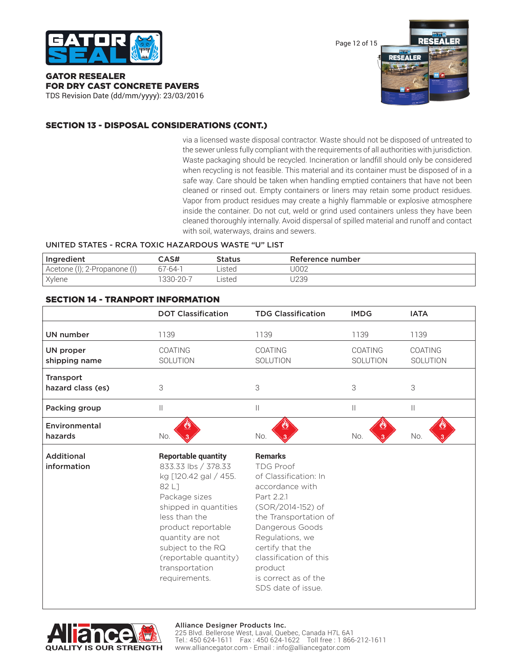

Page 12 of 15



GATOR RESEALER FOR DRY CAST CONCRETE PAVERS

TDS Revision Date (dd/mm/yyyy): 23/03/2016

## SECTION 13 - DISPOSAL CONSIDERATIONS (CONT.)

via a licensed waste disposal contractor. Waste should not be disposed of untreated to the sewer unless fully compliant with the requirements of all authorities with jurisdiction. Waste packaging should be recycled. Incineration or landfill should only be considered when recycling is not feasible. This material and its container must be disposed of in a safe way. Care should be taken when handling emptied containers that have not been cleaned or rinsed out. Empty containers or liners may retain some product residues. Vapor from product residues may create a highly flammable or explosive atmosphere inside the container. Do not cut, weld or grind used containers unless they have been cleaned thoroughly internally. Avoid dispersal of spilled material and runoff and contact with soil, waterways, drains and sewers.

## UNITED STATES - RCRA TOXIC HAZARDOUS WASTE "U" LIST

| Ingredient                   | CAS#          | Status | Reference number |
|------------------------------|---------------|--------|------------------|
| Acetone (I); 2-Propanone (I) | $67 - 64 - 1$ | Listed | J002             |
| Xylene                       | 1330-20-7     | listed | J239             |

## SECTION 14 - TRANPORT INFORMATION

|                                       | <b>DOT Classification</b>         | <b>TDG Classification</b>  | <b>IMDG</b>         | <b>IATA</b>         |
|---------------------------------------|-----------------------------------|----------------------------|---------------------|---------------------|
| UN number                             | 1139                              | 1139                       | 1139                | 1139                |
| UN proper<br>shipping name            | <b>COATING</b><br><b>SOLUTION</b> | <b>COATING</b><br>SOLUTION | COATING<br>SOLUTION | COATING<br>SOLUTION |
| <b>Transport</b><br>hazard class (es) | 3                                 | 3                          | 3                   | 3                   |
| Packing group                         | $\mathbf{  }$                     | Ш                          | Ш                   | Ш                   |
| Environmental<br>hazards              | No.                               | No.                        | No.                 | No.                 |

Additional **Reportable quantity Remarks** information 833.33 lbs / 378.33 TDG Proof kg [120.42 gal / 455. of Classification: In 82 L<sub>1</sub> accordance with Package sizes Part 2.2.1 shipped in quantities (SOR/2014-152) of less than the the Transportation of product reportable Dangerous Goods quantity are not Regulations, we subject to the RQ certify that the (reportable quantity) classification of this transportation product requirements. is correct as of the SDS date of issue.



#### Alliance Designer Products Inc.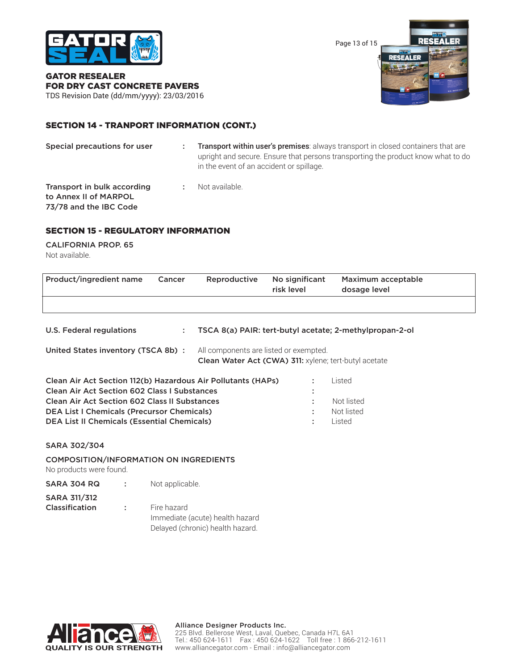

Page 13 of 15



GATOR RESEALER FOR DRY CAST CONCRETE PAVERS TDS Revision Date (dd/mm/yyyy): 23/03/2016

## SECTION 14 - TRANPORT INFORMATION (CONT.)

| Special precautions for user                                                   | Transport within user's premises: always transport in closed containers that are<br>upright and secure. Ensure that persons transporting the product know what to do<br>in the event of an accident or spillage. |
|--------------------------------------------------------------------------------|------------------------------------------------------------------------------------------------------------------------------------------------------------------------------------------------------------------|
| Transport in bulk according<br>to Annex II of MARPOL<br>73/78 and the IBC Code | Not available.                                                                                                                                                                                                   |

## SECTION 15 - REGULATORY INFORMATION

CALIFORNIA PROP. 65 Not available.

| Product/ingredient name  | Cancer | Reproductive | No significant<br>risk level | Maximum acceptable<br>dosage level                      |
|--------------------------|--------|--------------|------------------------------|---------------------------------------------------------|
|                          |        |              |                              |                                                         |
| U.S. Federal regulations |        |              |                              | TSCA 8(a) PAIR: tert-butyl acetate; 2-methylpropan-2-ol |

United States inventory (TSCA 8b) : All components are listed or exempted. Clean Water Act (CWA) 311: xylene; tert-butyl acetate

| Clean Air Act Section 112(b) Hazardous Air Pollutants (HAPs) | $\sim$          | l isted    |
|--------------------------------------------------------------|-----------------|------------|
| <b>Clean Air Act Section 602 Class I Substances</b>          |                 |            |
| <b>Clean Air Act Section 602 Class II Substances</b>         |                 | Not listed |
| <b>DEA List I Chemicals (Precursor Chemicals)</b>            |                 | Not listed |
| <b>DEA List II Chemicals (Essential Chemicals)</b>           | <b>All Card</b> | heter L    |

## SARA 302/304

COMPOSITION/INFORMATION ON INGREDIENTS

No products were found.

- SARA 304 RQ : Not applicable. SARA 311/312
- **Classification :** Fire hazard Immediate (acute) health hazard Delayed (chronic) health hazard.

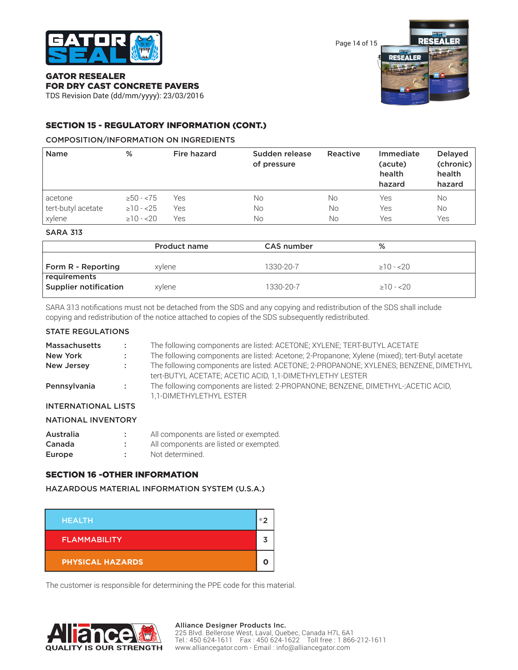

Page 14 of 15



#### GATOR RESEALER FOR DRY CAST CONCRETE PAVERS

TDS Revision Date (dd/mm/yyyy): 23/03/2016

## SECTION 15 - REGULATORY INFORMATION (CONT.)

## COMPOSITION/INFORMATION ON INGREDIENTS

| <b>Name</b>        | %              | Fire hazard | Sudden release<br>of pressure | Reactive | Immediate<br>(acute)<br>health<br>hazard | <b>Delayed</b><br>(chronic)<br>health<br>hazard |
|--------------------|----------------|-------------|-------------------------------|----------|------------------------------------------|-------------------------------------------------|
| acetone            | $\geq 50 - 75$ | Yes         | Νo                            | No       | Yes                                      | No                                              |
| tert-butyl acetate | $\geq 10 - 25$ | Yes         | No                            | No       | Yes                                      | No                                              |
| xylene             | $\geq 10 - 20$ | Yes         | Νo                            | No       | Yes                                      | Yes                                             |
|                    |                |             |                               |          |                                          |                                                 |

SARA 313

|                                              | <b>Product name</b> | <b>CAS number</b> | %               |
|----------------------------------------------|---------------------|-------------------|-----------------|
| Form R - Reporting                           | xvlene              | 1330-20-7         | $\geq$ 10 - <20 |
| requirements<br><b>Supplier notification</b> | xylene              | 1330-20-7         | $\geq$ 10 - <20 |

SARA 313 notifications must not be detached from the SDS and any copying and redistribution of the SDS shall include copying and redistribution of the notice attached to copies of the SDS subsequently redistributed.

## STATE REGULATIONS

| <b>Massachusetts</b>       | A.                | The following components are listed: ACETONE; XYLENE; TERT-BUTYL ACETATE                                                                          |  |  |  |
|----------------------------|-------------------|---------------------------------------------------------------------------------------------------------------------------------------------------|--|--|--|
| New York                   | $\sim$            | The following components are listed: Acetone; 2-Propanone; Xylene (mixed); tert-Butyl acetate                                                     |  |  |  |
| New Jersey                 | <b>CONTRACTOR</b> | The following components are listed: ACETONE; 2-PROPANONE; XYLENES; BENZENE, DIMETHYL<br>tert-BUTYL ACETATE; ACETIC ACID, 1,1-DIMETHYLETHY LESTER |  |  |  |
| Pennsylvania               | <b>Contractor</b> | The following components are listed: 2-PROPANONE; BENZENE, DIMETHYL-;ACETIC ACID,<br>1,1-DIMETHYLETHYL ESTER                                      |  |  |  |
| <b>INTERNATIONAL LISTS</b> |                   |                                                                                                                                                   |  |  |  |
| NATIONAL INVITNITODV       |                   |                                                                                                                                                   |  |  |  |

## NATIONAL INVENTORY

| Australia | All components are listed or exempted. |
|-----------|----------------------------------------|
| Canada    | All components are listed or exempted. |
| Europe    | Not determined.                        |

## SECTION 16 -OTHER INFORMATION

HAZARDOUS MATERIAL INFORMATION SYSTEM (U.S.A.)

| <b>HEALTH</b>           | $*^{\prime}$ |
|-------------------------|--------------|
| <b>FLAMMABILITY</b>     |              |
| <b>PHYSICAL HAZARDS</b> |              |

The customer is responsible for determining the PPE code for this material.